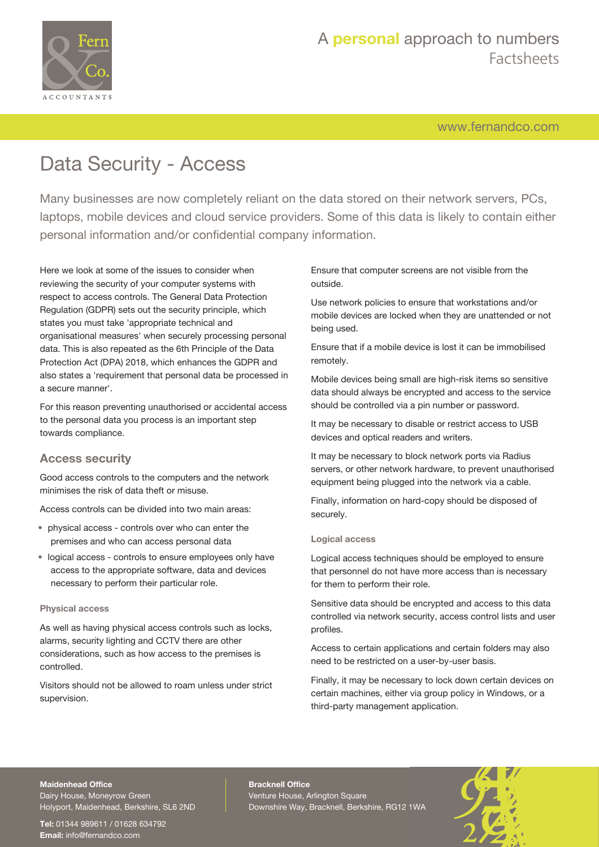

# A **personal** approach to numbers Factsheets

[www.fernandco.com](http://www.fernandco.com)

# Data Security - Access

Many businesses are now completely reliant on the data stored on their network servers, PCs, laptops, mobile devices and cloud service providers. Some of this data is likely to contain either personal information and/or confidential company information.

Here we look at some of the issues to consider when reviewing the security of your computer systems with respect to access controls. The General Data Protection Regulation (GDPR) sets out the security principle, which states you must take 'appropriate technical and organisational measures' when securely processing personal data. This is also repeated as the 6th Principle of the Data Protection Act (DPA) 2018, which enhances the GDPR and also states a 'requirement that personal data be processed in a secure manner'.

For this reason preventing unauthorised or accidental access to the personal data you process is an important step towards compliance.

### **Access security**

Good access controls to the computers and the network minimises the risk of data theft or misuse.

Access controls can be divided into two main areas:

- physical access controls over who can enter the premises and who can access personal data
- logical access controls to ensure employees only have access to the appropriate software, data and devices necessary to perform their particular role.

### **Physical access**

As well as having physical access controls such as locks, alarms, security lighting and CCTV there are other considerations, such as how access to the premises is controlled.

Visitors should not be allowed to roam unless under strict supervision.

Ensure that computer screens are not visible from the outside.

Use network policies to ensure that workstations and/or mobile devices are locked when they are unattended or not being used.

Ensure that if a mobile device is lost it can be immobilised remotely.

Mobile devices being small are high-risk items so sensitive data should always be encrypted and access to the service should be controlled via a pin number or password.

It may be necessary to disable or restrict access to USB devices and optical readers and writers.

It may be necessary to block network ports via Radius servers, or other network hardware, to prevent unauthorised equipment being plugged into the network via a cable.

Finally, information on hard-copy should be disposed of securely.

### **Logical access**

Logical access techniques should be employed to ensure that personnel do not have more access than is necessary for them to perform their role.

Sensitive data should be encrypted and access to this data controlled via network security, access control lists and user profiles.

Access to certain applications and certain folders may also need to be restricted on a user-by-user basis.

Finally, it may be necessary to lock down certain devices on certain machines, either via group policy in Windows, or a third-party management application.

#### **Maidenhead Office**

Dairy House, Moneyrow Green Holyport, Maidenhead, Berkshire, SL6 2ND

**Tel:** 01344 989611 / 01628 634792 **Email:** [info@fernandco.com](mailto:info@fernandco.com)

**Bracknell Office** Venture House, Arlington Square Downshire Way, Bracknell, Berkshire, RG12 1WA